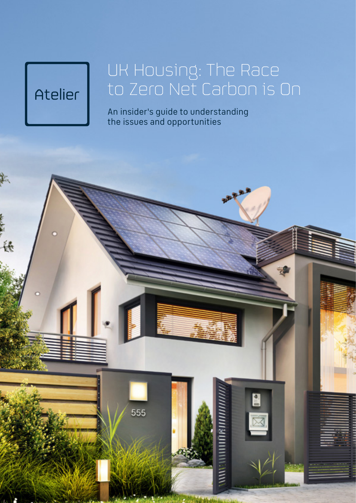# Atelier

三様

## UK Housing: The Race to Zero Net Carbon is On

An insider's guide to understanding the issues and opportunities

555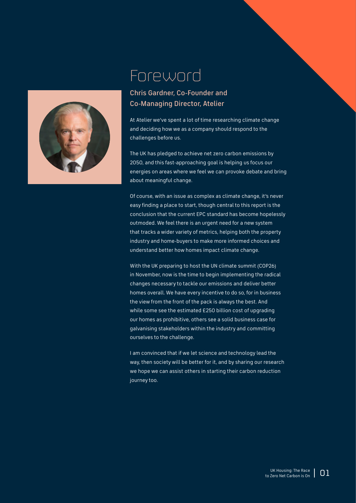

#### Foreword

#### Chris Gardner, Co-Founder and Co-Managing Director, Atelier

At Atelier we've spent a lot of time researching climate change and deciding how we as a company should respond to the challenges before us.

The UK has pledged to achieve net zero carbon emissions by 2050, and this fast-approaching goal is helping us focus our energies on areas where we feel we can provoke debate and bring about meaningful change.

Of course, with an issue as complex as climate change, it's never easy finding a place to start, though central to this report is the conclusion that the current EPC standard has become hopelessly outmoded. We feel there is an urgent need for a new system that tracks a wider variety of metrics, helping both the property industry and home-buyers to make more informed choices and understand better how homes impact climate change.

With the UK preparing to host the UN climate summit (COP26) in November, now is the time to begin implementing the radical changes necessary to tackle our emissions and deliver better homes overall. We have every incentive to do so, for in business the view from the front of the pack is always the best. And while some see the estimated £250 billion cost of upgrading our homes as prohibitive, others see a solid business case for galvanising stakeholders within the industry and committing ourselves to the challenge.

I am convinced that if we let science and technology lead the way, then society will be better for it, and by sharing our research we hope we can assist others in starting their carbon reduction journey too.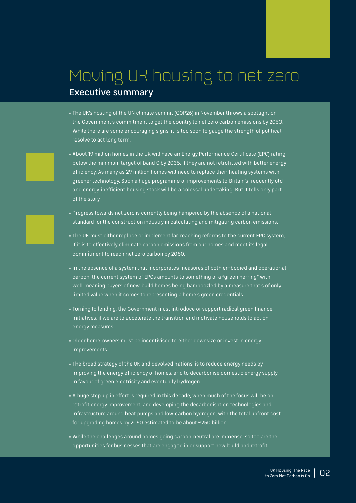#### Moving UK housing to net zero Executive summary

- The UK's hosting of the UN climate summit (COP26) in November throws a spotlight on the Government's commitment to get the country to net zero carbon emissions by 2050. While there are some encouraging signs, it is too soon to gauge the strength of political resolve to act long term.
- About 19 million homes in the UK will have an Energy Performance Certificate (EPC) rating below the minimum target of band C by 2035, if they are not retrofitted with better energy efficiency. As many as 29 million homes will need to replace their heating systems with greener technology. Such a huge programme of improvements to Britain's frequently old and energy-inefficient housing stock will be a colossal undertaking. But it tells only part of the story.
- Progress towards net zero is currently being hampered by the absence of a national standard for the construction industry in calculating and mitigating carbon emissions.
- The UK must either replace or implement far-reaching reforms to the current EPC system, if it is to effectively eliminate carbon emissions from our homes and meet its legal commitment to reach net zero carbon by 2050.
- In the absence of a system that incorporates measures of both embodied and operational carbon, the current system of EPCs amounts to something of a "green herring" with well-meaning buyers of new-build homes being bamboozled by a measure that's of only limited value when it comes to representing a home's green credentials.
- Turning to lending, the Government must introduce or support radical green finance initiatives, if we are to accelerate the transition and motivate households to act on energy measures.
- Older home-owners must be incentivised to either downsize or invest in energy improvements.
- The broad strategy of the UK and devolved nations, is to reduce energy needs by improving the energy efficiency of homes, and to decarbonise domestic energy supply in favour of green electricity and eventually hydrogen.
- A huge step-up in effort is required in this decade, when much of the focus will be on retrofit energy improvement, and developing the decarbonisation technologies and infrastructure around heat pumps and low-carbon hydrogen, with the total upfront cost for upgrading homes by 2050 estimated to be about £250 billion.
- While the challenges around homes going carbon-neutral are immense, so too are the opportunities for businesses that are engaged in or support new-build and retrofit.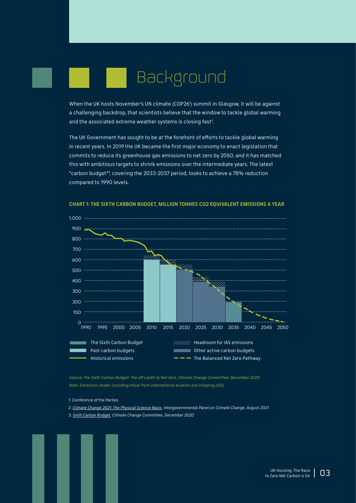# Background

When the UK hosts November's UN climate (COP261 ) summit in Glasgow, it will be against a challenging backdrop, that scientists believe that the window to tackle global warming and the associated extreme weather systems is closing fast $^{\rm 2}$ .

The UK Government has sought to be at the forefront of efforts to tackle global warming in recent years. In 2019 the UK became the first major economy to enact legislation that commits to reduce its greenhouse gas emissions to net zero by 2050, and it has matched this with ambitious targets to shrink emissions over the intermediate years. The latest "carbon budget<sup>3</sup>", covering the 2033-2037 period, looks to achieve a 78% reduction compared to 1990 levels.



**CHART 1: THE SIXTH CARBON BUDGET, MILLION TONNES CO2 EQUIVALENT EMISSIONS A YEAR**

*Source: The Sixth Carbon Budget: The UK's path to Net Zero, Climate Change Committee, December 2020 Note: Emissions shown including those from international aviation and shipping (IAS).*

- *1. Conference of the Parties*
- *2. [Climate Change 2021: The Physical Science Basis](https://www.ipcc.ch/report/ar6/wg1/downloads/report/IPCC_AR6_WGI_SPM.pdf), Intergovernmental Panel on Climate Change, August 2021*
- *3. [Sixth Carbon Budget,](https://www.theccc.org.uk/publication/sixth-carbon-budget/) Climate Change Committee, December 2020*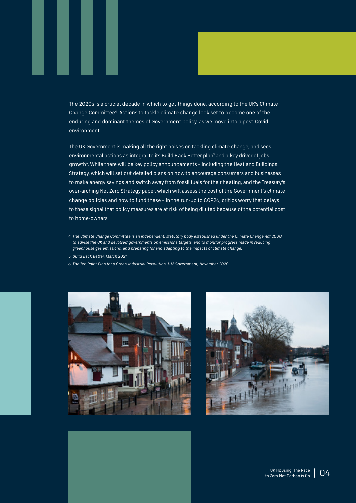The 2020s is a crucial decade in which to get things done, according to the UK's Climate Change Committee4. Actions to tackle climate change look set to become one of the enduring and dominant themes of Government policy, as we move into a post-Covid environment.

The UK Government is making all the right noises on tackling climate change, and sees environmental actions as integral to its Build Back Better plan<sup>5</sup> and a key driver of jobs growth<sup>6</sup>. While there will be key policy announcements – including the Heat and Buildings Strategy, which will set out detailed plans on how to encourage consumers and businesses to make energy savings and switch away from fossil fuels for their heating, and the Treasury's over-arching Net Zero Strategy paper, which will assess the cost of the Government's climate change policies and how to fund these – in the run-up to COP26, critics worry that delays to these signal that policy measures are at risk of being diluted because of the potential cost to home-owners.

- *4. The Climate Change Committee is an independent, statutory body established under the Climate Change Act 2008 to advise the UK and devolved governments on emissions targets, and to monitor progress made in reducing greenhouse gas emissions, and preparing for and adapting to the impacts of climate change.*
- *5. [Build Back Better](https://www.gov.uk/government/publications/build-back-better-our-plan-for-growth/build-back-better-our-plan-for-growth-html#build-back-better-our-plan-for-growth-at-a-glance), March 2021*
- *6. [The Ten Point Plan for a Green Industrial Revolution,](https://assets.publishing.service.gov.uk/government/uploads/system/uploads/attachment_data/file/936567/10_POINT_PLAN_BOOKLET.pdf) HM Government, November 2020*



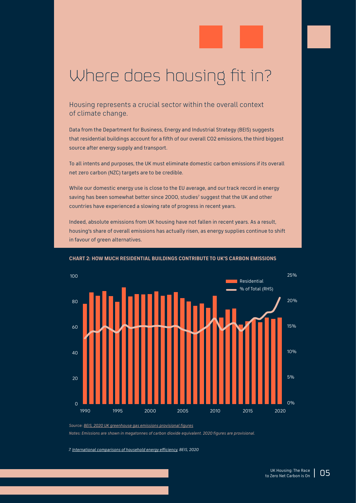### Where does housing fit in?

Housing represents a crucial sector within the overall context of climate change.

Data from the Department for Business, Energy and Industrial Strategy (BEIS) suggests that residential buildings account for a fifth of our overall CO2 emissions, the third biggest source after energy supply and transport.

To all intents and purposes, the UK must eliminate domestic carbon emissions if its overall net zero carbon (NZC) targets are to be credible.

While our domestic energy use is close to the EU average, and our track record in energy saving has been somewhat better since 2000, studies<sup>7</sup> suggest that the UK and other countries have experienced a slowing rate of progress in recent years.

Indeed, absolute emissions from UK housing have not fallen in recent years. As a result, housing's share of overall emissions has actually risen, as energy supplies continue to shift in favour of green alternatives.



#### **CHART 2: HOW MUCH RESIDENTIAL BUILDINGS CONTRIBUTE TO UK'S CARBON EMISSIONS**

*Notes: Emissions are shown in megatonnes of carbon dioxide equivalent. 2020 figures are provisional.*

*7. [International comparisons of household energy efficiency,](https://assets.publishing.service.gov.uk/government/uploads/system/uploads/attachment_data/file/875425/International_comparisons_of_household_energy_efficiency_2020.pdf) BEIS, 2020*

*Source: [BEIS, 2020 UK greenhouse gas emissions provisional figures](https://assets.publishing.service.gov.uk/government/uploads/system/uploads/attachment_data/file/972584/2020_Provisional_Emissions_data_tables.xlsx)*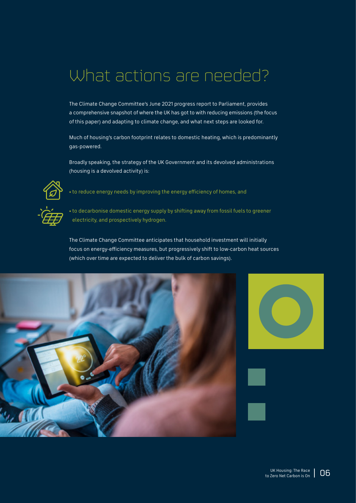### What actions are needed?

The Climate Change Committee's June 2021 progress report to Parliament, provides a comprehensive snapshot of where the UK has got to with reducing emissions (the focus of this paper) and adapting to climate change, and what next steps are looked for.

Much of housing's carbon footprint relates to domestic heating, which is predominantly gas-powered.

Broadly speaking, the strategy of the UK Government and its devolved administrations (housing is a devolved activity) is:



• to reduce energy needs by improving the energy efficiency of homes, and



• to decarbonise domestic energy supply by shifting away from fossil fuels to greener electricity, and prospectively hydrogen.

The Climate Change Committee anticipates that household investment will initially focus on energy-efficiency measures, but progressively shift to low-carbon heat sources (which over time are expected to deliver the bulk of carbon savings).



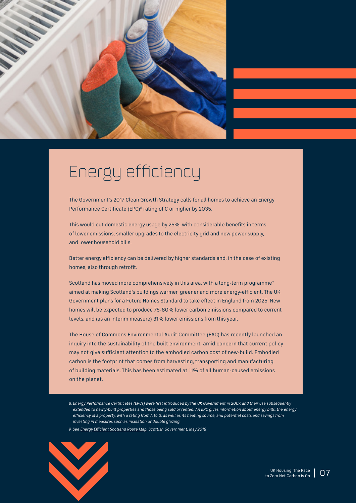

## Energy efficiency

The Government's 2017 Clean Growth Strategy calls for all homes to achieve an Energy Performance Certificate (EPC)<sup>8</sup> rating of C or higher by 2035.

This would cut domestic energy usage by 25%, with considerable benefits in terms of lower emissions, smaller upgrades to the electricity grid and new power supply, and lower household bills.

Better energy efficiency can be delivered by higher standards and, in the case of existing homes, also through retrofit.

Scotland has moved more comprehensively in this area, with a long-term programme<sup>9</sup> aimed at making Scotland's buildings warmer, greener and more energy-efficient. The UK Government plans for a Future Homes Standard to take effect in England from 2025. New homes will be expected to produce 75-80% lower carbon emissions compared to current levels, and (as an interim measure) 31% lower emissions from this year.

The House of Commons Environmental Audit Committee (EAC) has recently launched an inquiry into the sustainability of the built environment, amid concern that current policy may not give sufficient attention to the embodied carbon cost of new-build. Embodied carbon is the footprint that comes from harvesting, transporting and manufacturing of building materials. This has been estimated at 11% of all human-caused emissions on the planet.

- *8. Energy Performance Certificates (EPCs) were first introduced by the UK Government in 2007, and their use subsequently extended to newly-built properties and those being sold or rented. An EPC gives information about energy bills, the energy efficiency of a property, with a rating from A to G, as well as its heating source, and potential costs and savings from investing in measures such as insulation or double glazing.*
- *9. See [Energy Efficient Scotland Route Map](https://www.gov.scot/publications/energy-efficient-scotland-route-map/), Scottish Government, May 2018*

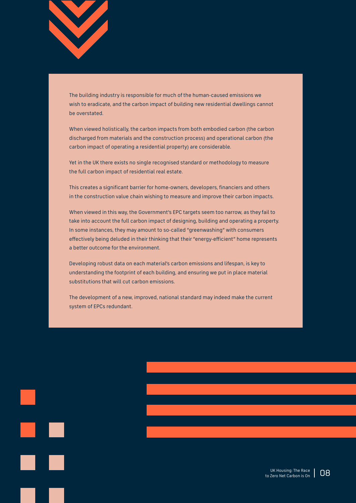

The building industry is responsible for much of the human-caused emissions we wish to eradicate, and the carbon impact of building new residential dwellings cannot be overstated.

When viewed holistically, the carbon impacts from both embodied carbon (the carbon discharged from materials and the construction process) and operational carbon (the carbon impact of operating a residential property) are considerable.

Yet in the UK there exists no single recognised standard or methodology to measure the full carbon impact of residential real estate.

This creates a significant barrier for home-owners, developers, financiers and others in the construction value chain wishing to measure and improve their carbon impacts.

When viewed in this way, the Government's EPC targets seem too narrow, as they fail to take into account the full carbon impact of designing, building and operating a property. In some instances, they may amount to so-called "greenwashing" with consumers effectively being deluded in their thinking that their "energy-efficient" home represents a better outcome for the environment.

Developing robust data on each material's carbon emissions and lifespan, is key to understanding the footprint of each building, and ensuring we put in place material substitutions that will cut carbon emissions.

The development of a new, improved, national standard may indeed make the current system of EPCs redundant.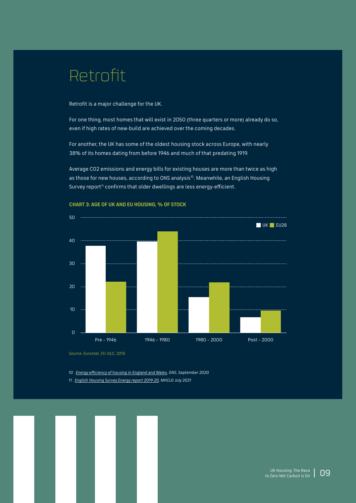### Retrofit

Retrofit is a major challenge for the UK.

For one thing, most homes that will exist in 2050 (three quarters or more) already do so, even if high rates of new-build are achieved over the coming decades.

For another, the UK has some of the oldest housing stock across Europe, with nearly 38% of its homes dating from before 1946 and much of that predating 1919.

Average CO2 emissions and energy bills for existing houses are more than twice as high as those for new houses, according to ONS analysis<sup>10</sup>. Meanwhile, an English Housing Survey report<sup>11</sup> confirms that older dwellings are less energy-efficient.



**CHART 3: AGE OF UK AND EU HOUSING, % OF STOCK**

*Source: Eurostat, EU-SILC, 2015*

*10 . [Energy efficiency of housing in England and Wales](https://www.ons.gov.uk/peoplepopulationandcommunity/housing/articles/energyefficiencyofhousinginenglandandwales/2020-09-23), ONS, September 2020*

*11 . [English Housing Survey Energy report 2019-20,](https://www.gov.uk/government/statistics/english-housing-survey-2019-to-2020-energy) MHCLG July 2021*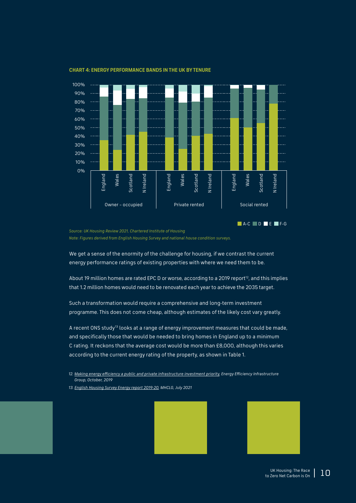

#### **CHART 4: ENERGY PERFORMANCE BANDS IN THE UK BY TENURE**

*Source: UK Housing Review 2021, Chartered Institute of Housing Note: Figures derived from English Housing Survey and national house condition surveys.*

We get a sense of the enormity of the challenge for housing, if we contrast the current energy performance ratings of existing properties with where we need them to be.

About 19 million homes are rated EPC D or worse, according to a 2019 report<sup>12</sup>, and this implies that 1.2 million homes would need to be renovated each year to achieve the 2035 target.

Such a transformation would require a comprehensive and long-term investment programme. This does not come cheap, although estimates of the likely cost vary greatly.

A recent ONS study<sup>13</sup> looks at a range of energy improvement measures that could be made, and specifically those that would be needed to bring homes in England up to a minimum C rating. It reckons that the average cost would be more than £8,000, although this varies according to the current energy rating of the property, as shown in Table 1.

- *12. [Making energy efficiency a public and private infrastructure investment priority,](https://www.theeeig.co.uk/media/1063/eeig_net-zero_1019.pdf) Energy Efficiency Infrastructure Group, October, 2019*
- *13. [English Housing Survey Energy report 2019-20](https://www.gov.uk/government/statistics/english-housing-survey-2019-to-2020-energy), MHCLG, July 2021*





A-C D E F-G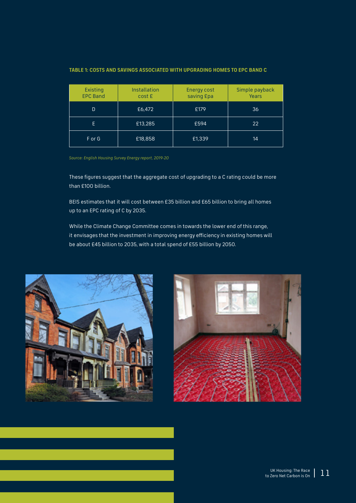| <b>Existing</b><br><b>EPC Band</b> | Installation<br>cost £ | <b>Energy cost</b><br>saving Epa | Simple payback<br>Years |
|------------------------------------|------------------------|----------------------------------|-------------------------|
| D                                  | £6,472                 | £179                             | 36                      |
| F                                  | £13,285                | £594                             | 22                      |
| F or G                             | £18,858                | £1,339                           | 14                      |

#### **TABLE 1: COSTS AND SAVINGS ASSOCIATED WITH UPGRADING HOMES TO EPC BAND C**

*Source: English Housing Survey Energy report, 2019-20*

These figures suggest that the aggregate cost of upgrading to a C rating could be more than £100 billion.

BEIS estimates that it will cost between £35 billion and £65 billion to bring all homes up to an EPC rating of C by 2035.

While the Climate Change Committee comes in towards the lower end of this range, it envisages that the investment in improving energy efficiency in existing homes will be about £45 billion to 2035, with a total spend of £55 billion by 2050.



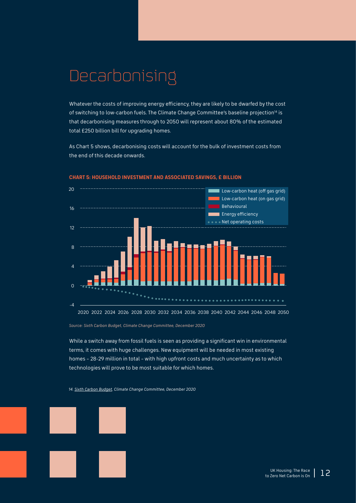### Decarbonising

Whatever the costs of improving energy efficiency, they are likely to be dwarfed by the cost of switching to low-carbon fuels. The Climate Change Committee's baseline projection<sup>14</sup> is that decarbonising measures through to 2050 will represent about 80% of the estimated total £250 billion bill for upgrading homes.

As Chart 5 shows, decarbonising costs will account for the bulk of investment costs from the end of this decade onwards.



#### **CHART 5: HOUSEHOLD INVESTMENT AND ASSOCIATED SAVINGS, £ BILLION**

*Source: Sixth Carbon Budget, Climate Change Committee, December 2020*

While a switch away from fossil fuels is seen as providing a significant win in environmental terms, it comes with huge challenges. New equipment will be needed in most existing homes – 28-29 million in total – with high upfront costs and much uncertainty as to which technologies will prove to be most suitable for which homes.

*14. [Sixth Carbon Budget,](https://www.theccc.org.uk/publication/sixth-carbon-budget/http://Sixth Carbon Budget) Climate Change Committee, December 2020*

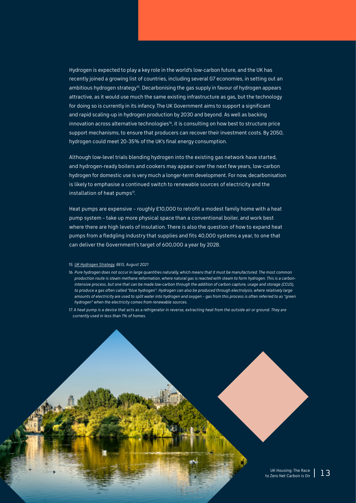Hydrogen is expected to play a key role in the world's low-carbon future, and the UK has recently joined a growing list of countries, including several G7 economies, in setting out an ambitious hydrogen strategy<sup>15</sup>. Decarbonising the gas supply in favour of hydrogen appears attractive, as it would use much the same existing infrastructure as gas, but the technology for doing so is currently in its infancy. The UK Government aims to support a significant and rapid scaling-up in hydrogen production by 2030 and beyond. As well as backing innovation across alternative technologies<sup>16</sup>, it is consulting on how best to structure price support mechanisms, to ensure that producers can recover their investment costs. By 2050, hydrogen could meet 20-35% of the UK's final energy consumption.

Although low-level trials blending hydrogen into the existing gas network have started, and hydrogen-ready boilers and cookers may appear over the next few years, low-carbon hydrogen for domestic use is very much a longer-term development. For now, decarbonisation is likely to emphasise a continued switch to renewable sources of electricity and the installation of heat pumps<sup>17</sup>.

Heat pumps are expensive – roughly £10,000 to retrofit a modest family home with a heat pump system – take up more physical space than a conventional boiler, and work best where there are high levels of insulation. There is also the question of how to expand heat pumps from a fledgling industry that supplies and fits 40,000 systems a year, to one that can deliver the Government's target of 600,000 a year by 2028.

#### *15. [UK Hydrogen Strategy](https://assets.publishing.service.gov.uk/government/uploads/system/uploads/attachment_data/file/1011283/UK-Hydrogen-Strategy_web.pdf), BEIS, August 2021*

- *16. Pure hydrogen does not occur in large quantities naturally, which means that it must be manufactured. The most common production route is steam methane reformation, where natural gas is reacted with steam to form hydrogen. This is a carbonintensive process, but one that can be made low-carbon through the addition of carbon capture, usage and storage (CCUS), to produce a gas often called "blue hydrogen". Hydrogen can also be produced through electrolysis, where relatively large amounts of electricity are used to split water into hydrogen and oxygen – gas from this process is often referred to as "green hydrogen" when the electricity comes from renewable sources.*
- *17. A heat pump is a device that acts as a refrigerator in reverse, extracting heat from the outside air or ground. They are currently used in less than 1% of homes.*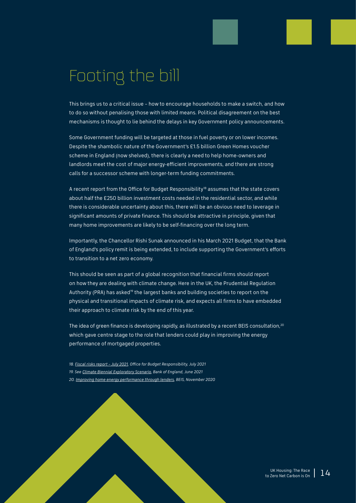### Footing the bill

This brings us to a critical issue – how to encourage households to make a switch, and how to do so without penalising those with limited means. Political disagreement on the best mechanisms is thought to lie behind the delays in key Government policy announcements.

Some Government funding will be targeted at those in fuel poverty or on lower incomes. Despite the shambolic nature of the Government's £1.5 billion Green Homes voucher scheme in England (now shelved), there is clearly a need to help home-owners and landlords meet the cost of major energy-efficient improvements, and there are strong calls for a successor scheme with longer-term funding commitments.

A recent report from the Office for Budget Responsibility<sup>18</sup> assumes that the state covers about half the £250 billion investment costs needed in the residential sector, and while there is considerable uncertainty about this, there will be an obvious need to leverage in significant amounts of private finance. This should be attractive in principle, given that many home improvements are likely to be self-financing over the long term.

Importantly, the Chancellor Rishi Sunak announced in his March 2021 Budget, that the Bank of England's policy remit is being extended, to include supporting the Government's efforts to transition to a net zero economy.

This should be seen as part of a global recognition that financial firms should report on how they are dealing with climate change. Here in the UK, the Prudential Regulation Authority (PRA) has asked<sup>19</sup> the largest banks and building societies to report on the physical and transitional impacts of climate risk, and expects all firms to have embedded their approach to climate risk by the end of this year.

The idea of green finance is developing rapidly, as illustrated by a recent BEIS consultation,<sup>20</sup> which gave centre stage to the role that lenders could play in improving the energy performance of mortgaged properties.

*18. [Fiscal risks report – July 2021](https://obr.uk/docs/dlm_uploads/Fiscal_risks_report_July_2021.pdf), Office for Budget Responsibility, July 2021 19. See [Climate Biennial Exploratory Scenario,](https://www.bankofengland.co.uk/news/2021/june/key-elements-of-the-2021-biennial-exploratory-scenario-financial-risks-from-climate-change) Bank of England, June 2021 20. [Improving home energy performance through lenders](https://assets.publishing.service.gov.uk/government/uploads/system/uploads/attachment_data/file/936276/improving-home-energy-performance-through-lenders-consultation.pdf), BEIS, November 2020*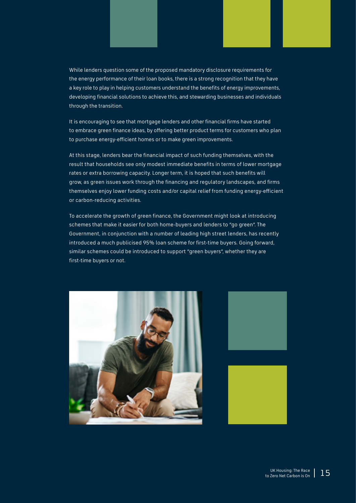While lenders question some of the proposed mandatory disclosure requirements for the energy performance of their loan books, there is a strong recognition that they have a key role to play in helping customers understand the benefits of energy improvements, developing financial solutions to achieve this, and stewarding businesses and individuals through the transition.

It is encouraging to see that mortgage lenders and other financial firms have started to embrace green finance ideas, by offering better product terms for customers who plan to purchase energy-efficient homes or to make green improvements.

At this stage, lenders bear the financial impact of such funding themselves, with the result that households see only modest immediate benefits in terms of lower mortgage rates or extra borrowing capacity. Longer term, it is hoped that such benefits will grow, as green issues work through the financing and regulatory landscapes, and firms themselves enjoy lower funding costs and/or capital relief from funding energy-efficient or carbon-reducing activities.

To accelerate the growth of green finance, the Government might look at introducing schemes that make it easier for both home-buyers and lenders to "go green". The Government, in conjunction with a number of leading high street lenders, has recently introduced a much publicised 95% loan scheme for first-time buyers. Going forward, similar schemes could be introduced to support "green buyers", whether they are first-time buyers or not.





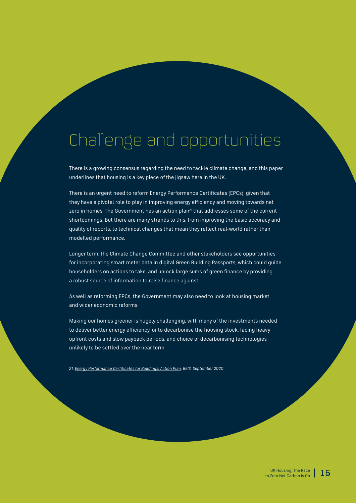### Challenge and opportunities

There is a growing consensus regarding the need to tackle climate change, and this paper underlines that housing is a key piece of the jigsaw here in the UK.

There is an urgent need to reform Energy Performance Certificates (EPCs), given that they have a pivotal role to play in improving energy efficiency and moving towards net zero in homes. The Government has an action plan<sup>21</sup> that addresses some of the current shortcomings. But there are many strands to this, from improving the basic accuracy and quality of reports, to technical changes that mean they reflect real-world rather than modelled performance.

Longer term, the Climate Change Committee and other stakeholders see opportunities for incorporating smart meter data in digital Green Building Passports, which could guide householders on actions to take, and unlock large sums of green finance by providing a robust source of information to raise finance against.

As well as reforming EPCs, the Government may also need to look at housing market and wider economic reforms.

Making our homes greener is hugely challenging, with many of the investments needed to deliver better energy efficiency, or to decarbonise the housing stock, facing heavy upfront costs and slow payback periods, and choice of decarbonising technologies unlikely to be settled over the near term.

*21. [Energy Performance Certificates for Buildings: Action Plan,](https://assets.publishing.service.gov.uk/government/uploads/system/uploads/attachment_data/file/922660/EPC_Action_Plan.pdf) BEIS, September 2020*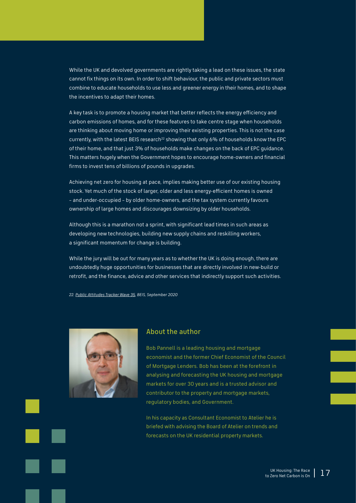While the UK and devolved governments are rightly taking a lead on these issues, the state cannot fix things on its own. In order to shift behaviour, the public and private sectors must combine to educate households to use less and greener energy in their homes, and to shape the incentives to adapt their homes.

A key task is to promote a housing market that better reflects the energy efficiency and carbon emissions of homes, and for these features to take centre stage when households are thinking about moving home or improving their existing properties. This is not the case currently, with the latest BEIS research<sup>22</sup> showing that only 6% of households know the EPC of their home, and that just 3% of households make changes on the back of EPC guidance. This matters hugely when the Government hopes to encourage home-owners and financial firms to invest tens of billions of pounds in upgrades.

Achieving net zero for housing at pace, implies making better use of our existing housing stock. Yet much of the stock of larger, older and less energy-efficient homes is owned – and under-occupied – by older home-owners, and the tax system currently favours ownership of large homes and discourages downsizing by older households.

Although this is a marathon not a sprint, with significant lead times in such areas as developing new technologies, building new supply chains and reskilling workers, a significant momentum for change is building.

While the jury will be out for many years as to whether the UK is doing enough, there are undoubtedly huge opportunities for businesses that are directly involved in new-build or retrofit, and the finance, advice and other services that indirectly support such activities.

*22. [Public Attitudes Tracker Wave 35](https://assets.publishing.service.gov.uk/government/uploads/system/uploads/attachment_data/file/934647/BEIS_PAT_W35_-_Key_findings.pdf), BEIS, September 2020*



#### About the author

Bob Pannell is a leading housing and mortgage economist and the former Chief Economist of the Council of Mortgage Lenders. Bob has been at the forefront in analysing and forecasting the UK housing and mortgage markets for over 30 years and is a trusted advisor and contributor to the property and mortgage markets, regulatory bodies, and Government.

In his capacity as Consultant Economist to Atelier he is briefed with advising the Board of Atelier on trends and forecasts on the UK residential property markets.